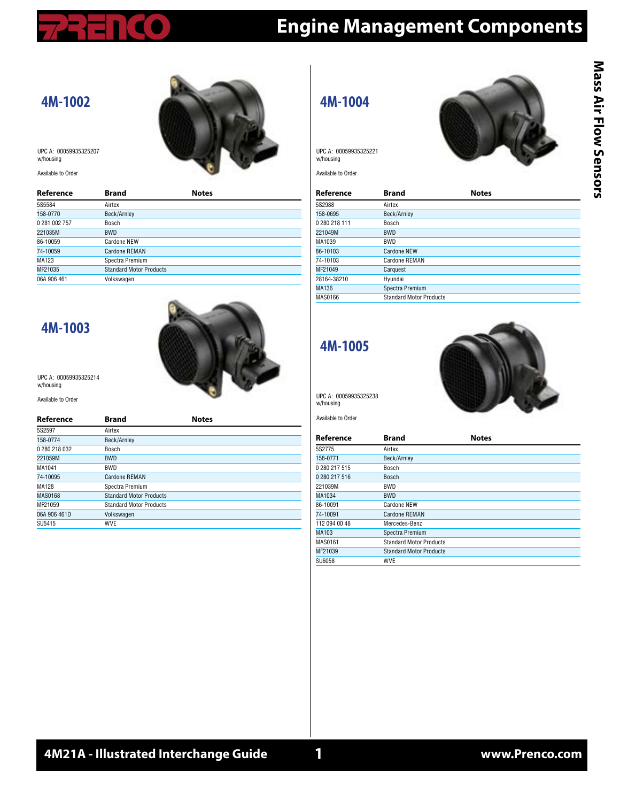# **Engine Management Components**

#### **4M-1002**



UPC A: 00059935325207 w/housing

Available to Order

| Reference     | <b>Brand</b>                   | <b>Notes</b> |  |
|---------------|--------------------------------|--------------|--|
| 5S5584        | Airtex                         |              |  |
| 158-0770      | Beck/Arnley                    |              |  |
| 0 281 002 757 | Bosch                          |              |  |
| 221035M       | <b>BWD</b>                     |              |  |
| 86-10059      | Cardone NEW                    |              |  |
| 74-10059      | Cardone REMAN                  |              |  |
| MA123         | Spectra Premium                |              |  |
| MF21035       | <b>Standard Motor Products</b> |              |  |
| 06A 906 461   | Volkswagen                     |              |  |
|               |                                |              |  |

NO

 $\sim$ 

#### **4M-1003**



UPC A: 00059935325214 w/housing

Available to Order

| Reference      | <b>Brand</b>                   | <b>Notes</b> |
|----------------|--------------------------------|--------------|
| 5S2597         | Airtex                         |              |
| 158-0774       | Beck/Arnley                    |              |
| 0 280 218 032  | Bosch                          |              |
| 221059M        | <b>BWD</b>                     |              |
| MA1041         | BWD                            |              |
| 74-10095       | Cardone REMAN                  |              |
| <b>MA128</b>   | Spectra Premium                |              |
| <b>MAS0168</b> | <b>Standard Motor Products</b> |              |
| MF21059        | <b>Standard Motor Products</b> |              |
| 06A 906 461D   | Volkswagen                     |              |
| SU5415         | <b>WVE</b>                     |              |

**4M-1004**

UPC A: 00059935325221 w/housing

Available to Order



| Reference     | <b>Brand</b>                   | <b>Notes</b> |
|---------------|--------------------------------|--------------|
| 5S2988        | Airtex                         |              |
| 158-0695      | Beck/Arnley                    |              |
| 0 280 218 111 | Bosch                          |              |
| 221049M       | <b>BWD</b>                     |              |
| MA1039        | <b>BWD</b>                     |              |
| 86-10103      | Cardone NEW                    |              |
| 74-10103      | Cardone REMAN                  |              |
| MF21049       | Carquest                       |              |
| 28164-38210   | Hyundai                        |              |
| MA136         | Spectra Premium                |              |
| MAS0166       | <b>Standard Motor Products</b> |              |

#### **4M-1005**



UPC A: 00059935325238 w/housing

| <b>Brand</b>                   | <b>Notes</b> |
|--------------------------------|--------------|
| Airtex                         |              |
| Beck/Arnley                    |              |
| Bosch                          |              |
| <b>Bosch</b>                   |              |
| BWD                            |              |
| <b>BWD</b>                     |              |
| Cardone NEW                    |              |
| Cardone REMAN                  |              |
| Mercedes-Benz                  |              |
| Spectra Premium                |              |
| <b>Standard Motor Products</b> |              |
| <b>Standard Motor Products</b> |              |
| <b>WVE</b>                     |              |
|                                |              |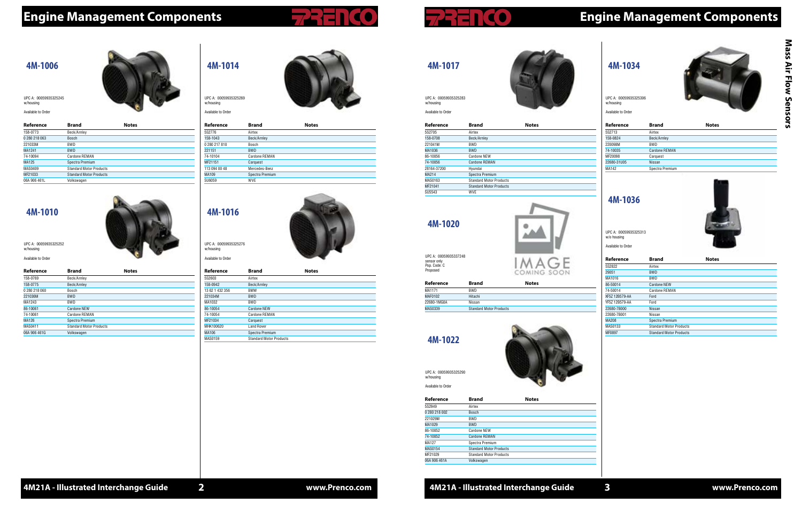#### **4M-1034**



| Reference   | <b>Brand</b>    | <b>Notes</b> |  |
|-------------|-----------------|--------------|--|
| 5S2713      | Airtex          |              |  |
| 158-0824    | Beck/Arnley     |              |  |
| 220098M     | <b>BWD</b>      |              |  |
| 74-10035    | Cardone REMAN   |              |  |
| MF20098     | Carquest        |              |  |
| 22680-31U05 | <b>Nissan</b>   |              |  |
| MA142       | Spectra Premium |              |  |
|             |                 |              |  |

UPC A: 00059935325306 w/housing

Available to Order

#### **4M-1036**

28164-37200 Hyundai MA214 Spectra Premium<br>MAS0163 Standard Motor Pr

| Reference      | <b>Brand</b>                   | <b>Notes</b> |
|----------------|--------------------------------|--------------|
| 5S2822         | Airtex                         |              |
| 29051          | <b>BWD</b>                     |              |
| MA1016         | <b>BWD</b>                     |              |
| 86-50014       | <b>Cardone NEW</b>             |              |
| 74-50014       | Cardone REMAN                  |              |
| XF5Z 12B579-AA | Ford                           |              |
| YF5Z 12B579-AA | Ford                           |              |
| 22680-7B000    | Nissan                         |              |
| 22680-7B001    | Nissan                         |              |
| <b>MA208</b>   | Spectra Premium                |              |
| MAS0133        | <b>Standard Motor Products</b> |              |
| <b>MF0897</b>  | <b>Standard Motor Products</b> |              |

UPC A: 00059935325313 w/o housing

Available to Order

# **4M-1017**



MF21041 Standard Motor Products

**Standard Motor Products** 



SU5543 WVE

w/housing Available to Order

# **4M-1020**

| Reference   | <b>Brand</b>                   | <b>Notes</b> |  |
|-------------|--------------------------------|--------------|--|
| MA1171      | <b>BWD</b>                     |              |  |
| MAF0102     | Hitachi                        |              |  |
| 22680-1MG0A | Nissan                         |              |  |
| MAS0339     | <b>Standard Motor Products</b> |              |  |

UPC A: 00059935337248 sensor only Pop. Code: C Proposed

### **4M-1022**



**Reference Brand Notes** 5S2949 Airtex 0 280 218 002 Bosch 221029M BWD MA1029 BWD 86-10052 Cardone NEW 74-10052 Cardone REMAN MA127 Spectra Premium MAS0154 Standard Motor Products MF21029 Standard Motor Products 06A 906 461A Volkswagen

UPC A: 00059935325290 w/housing Available to Order



| Reference     | <b>Brand</b>         | <b>Notes</b> |  |
|---------------|----------------------|--------------|--|
| 5S2776        | Airtex               |              |  |
| 158-1043      | Beck/Arnley          |              |  |
| 0 280 217 810 | Bosch                |              |  |
| 221151        | <b>BWD</b>           |              |  |
| 74-10104      | <b>Cardone REMAN</b> |              |  |
| MF21151       | Carquest             |              |  |
| 113 094 00 48 | Mercedes-Benz        |              |  |
| MA109         | Spectra Premium      |              |  |
| SU6059        | <b>WVE</b>           |              |  |
|               |                      |              |  |

UPC A: 00059935325269 w/housing

Available to Order



# **4M-1016**



| Reference       | <b>Brand</b>                   | <b>Notes</b> |
|-----------------|--------------------------------|--------------|
| 5S2603          | Airtex                         |              |
| 158-0942        | Beck/Arnley                    |              |
| 13 62 1 432 356 | <b>BMW</b>                     |              |
| 221034M         | <b>BWD</b>                     |              |
| MA1032          | <b>BWD</b>                     |              |
| 86-10054        | Cardone NEW                    |              |
| 74-10054        | Cardone REMAN                  |              |
| MF21034         | Carquest                       |              |
| MHK100620       | <b>Land Rover</b>              |              |
| MA106           | Spectra Premium                |              |
| MAS0159         | <b>Standard Motor Products</b> |              |
|                 |                                |              |

UPC A: 00059935325276 w/housing

Available to Order

# **Engine Management Components Engine Management Components**

#### **4M-1006**

| Reference     | <b>Brand</b>                   | <b>Notes</b> |
|---------------|--------------------------------|--------------|
| 158-0773      | Beck/Arnley                    |              |
| 0 280 218 063 | <b>Bosch</b>                   |              |
| 221033M       | BWD                            |              |
| MA1241        | <b>BWD</b>                     |              |
| 74-10094      | Cardone REMAN                  |              |
| MA125         | Spectra Premium                |              |
| MAS0409       | <b>Standard Motor Products</b> |              |
| MF21033       | <b>Standard Motor Products</b> |              |
| 06A 906 461L  | Volkswagen                     |              |

UPC A: 00059935325245 w/housing

Available to Orde

#### **4M-1010**



| <b>Brand</b>                   | <b>Notes</b> |
|--------------------------------|--------------|
| Beck/Arnley                    |              |
| Beck/Arnley                    |              |
| Bosch                          |              |
| <b>BWD</b>                     |              |
| <b>BWD</b>                     |              |
| Cardone NEW                    |              |
| Cardone REMAN                  |              |
| Spectra Premium                |              |
| <b>Standard Motor Products</b> |              |
| Volkswagen                     |              |
|                                |              |

UPC A: 00059935325252 w/housing Available to Order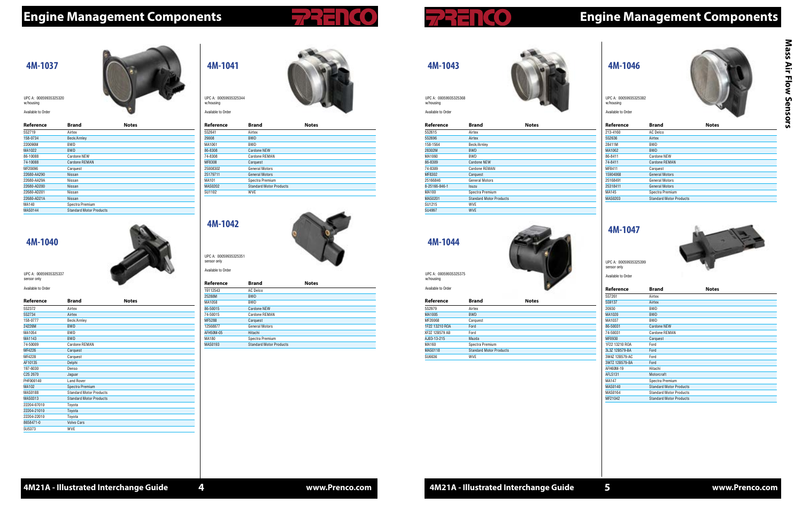# Mass Air Flow Sensors **Mass Air Flow Sensors**



# **Engine Management Components Engine Management Components**

#### **4M-1046**



| Reference      | <b>Brand</b>                   | <b>Notes</b> |  |
|----------------|--------------------------------|--------------|--|
| 213-4160       | <b>AC Delco</b>                |              |  |
| 5S2636         | Airtex                         |              |  |
| 28411M         | <b>BWD</b>                     |              |  |
| MA1062         | <b>BWD</b>                     |              |  |
| 86-8411        | Cardone NEW                    |              |  |
| 74-8411        | Cardone REMAN                  |              |  |
| MF8411         | Carquest                       |              |  |
| 15904068       | <b>General Motors</b>          |              |  |
| 25168491       | <b>General Motors</b>          |              |  |
| 25318411       | <b>General Motors</b>          |              |  |
| MA145          | Spectra Premium                |              |  |
| <b>MAS0203</b> | <b>Standard Motor Products</b> |              |  |
|                |                                |              |  |

UPC A: 00059935325382 w/housing

Available to Order

#### **4M-1047**



| Reference      | <b>Brand</b>                   | <b>Notes</b> |
|----------------|--------------------------------|--------------|
| 5S7261         | Airtex                         |              |
| 5S9137         | Airtex                         |              |
| 20930          | <b>BWD</b>                     |              |
| MA1020         | <b>BWD</b>                     |              |
| MA1037         | <b>BWD</b>                     |              |
| 86-50031       | Cardone NEW                    |              |
| 74-50031       | <b>Cardone REMAN</b>           |              |
| MF0930         | Carquest                       |              |
| 1F22 13210 ROA | Ford                           |              |
| 3L3Z 12B579-BA | Ford                           |              |
| 3W4Z 12B579-AC | Ford                           |              |
| 3W7Z 12B579-BA | Ford                           |              |
| AFH60M-19      | Hitachi                        |              |
| <b>AFLS131</b> | Motorcraft                     |              |
| MA147          | Spectra Premium                |              |
| MAS0140        | <b>Standard Motor Products</b> |              |
| MAS0164        | <b>Standard Motor Products</b> |              |
| MF21042        | <b>Standard Motor Products</b> |              |

UPC A: 00059935325399 sensor only

Available to Order





| Reference     | <b>Brand</b>                   | <b>Notes</b> |  |
|---------------|--------------------------------|--------------|--|
| 5S2615        | Airtex                         |              |  |
| 5S2696        | Airtex                         |              |  |
| 158-1564      | Beck/Arnley                    |              |  |
| 28302M        | <b>BWD</b>                     |              |  |
| MA1060        | BWD                            |              |  |
| 86-8309       | <b>Cardone NEW</b>             |              |  |
| 74-8309       | Cardone REMAN                  |              |  |
| MF8302        | Carquest                       |              |  |
| 25166846      | <b>General Motors</b>          |              |  |
| 8-25166-846-1 | Isuzu                          |              |  |
| MA100         | Spectra Premium                |              |  |
| MAS0201       | <b>Standard Motor Products</b> |              |  |
| SU1215        | WVE.                           |              |  |
| SU4997        | <b>WVE</b>                     |              |  |

UPC A: 00059935325368 w/housing Available to Order

### **4M-1044**

| Available to Order |                                |              |  |
|--------------------|--------------------------------|--------------|--|
| Reference          | <b>Brand</b>                   | <b>Notes</b> |  |
| 5S2979             | Airtex                         |              |  |
| MA1005             | <b>BWD</b>                     |              |  |
| MF20068            | Carquest                       |              |  |
| 1F22 13210 ROA     | Ford                           |              |  |
| XF2Z 12B579 AB     | Ford                           |              |  |
| AJ03-13-215        | Mazda                          |              |  |
| MA160              | Spectra Premium                |              |  |
| <b>MAS0118</b>     | <b>Standard Motor Products</b> |              |  |
| SU6636             | <b>WVE</b>                     |              |  |

UPC A: 00059935325375

w/housing



#### **4M-1041**

| Reference | <b>Brand</b>                   | <b>Notes</b> |  |
|-----------|--------------------------------|--------------|--|
| 5S2641    | Airtex                         |              |  |
| 29008     | <b>BWD</b>                     |              |  |
| MA1061    | <b>BWD</b>                     |              |  |
| 86-8308   | Cardone NEW                    |              |  |
| 74-8308   | Cardone REMAN                  |              |  |
| MF8308    | Carquest                       |              |  |
| 25008302  | <b>General Motors</b>          |              |  |
| 25179711  | <b>General Motors</b>          |              |  |
| MA101     | Spectra Premium                |              |  |
| MAS0202   | <b>Standard Motor Products</b> |              |  |
| SU1102    | <b>WVE</b>                     |              |  |
|           |                                |              |  |

UPC A: 00059935325344 w/housing

Available to Order



# **4M-1042**



| Reference | <b>Brand</b>                   | <b>Notes</b> |  |
|-----------|--------------------------------|--------------|--|
| 19112543  | AC Delco                       |              |  |
| 25288M    | <b>BWD</b>                     |              |  |
| MA1058    | <b>BWD</b>                     |              |  |
| 86-50015  | <b>Cardone NEW</b>             |              |  |
| 74-50015  | Cardone REMAN                  |              |  |
| MF5288    | Carquest                       |              |  |
| 12568877  | General Motors                 |              |  |
| AFH50M-05 | Hitachi                        |              |  |
| MA180     | Spectra Premium                |              |  |
| MAS0193   | <b>Standard Motor Products</b> |              |  |
|           |                                |              |  |

UPC A: 00059935325351 sensor only Available to Order

#### **4M-1037**

| Reference      | <b>Brand</b>                   | <b>Notes</b> |  |
|----------------|--------------------------------|--------------|--|
| 5S2719         | Airtex                         |              |  |
| 158-0734       | Beck/Arnley                    |              |  |
| 220096M        | <b>BWD</b>                     |              |  |
| MA1022         | <b>BWD</b>                     |              |  |
| 86-10088       | Cardone NEW                    |              |  |
| 74-10088       | <b>Cardone REMAN</b>           |              |  |
| MF20096        | Carquest                       |              |  |
| 22680-AA290    | <b>Nissan</b>                  |              |  |
| 22680-AA29A    | Nissan                         |              |  |
| 22680-AD200    | <b>Nissan</b>                  |              |  |
| 22680-AD201    | Nissan                         |              |  |
| 22680-AD21A    | <b>Nissan</b>                  |              |  |
| MA140          | Spectra Premium                |              |  |
| <b>MAS0144</b> | <b>Standard Motor Products</b> |              |  |

UPC A: 00059935325320 w/housing

Available to Order

### **4M-1040**



| Reference             | <b>Brand</b>                   | <b>Notes</b> |  |
|-----------------------|--------------------------------|--------------|--|
| 5S2372                | Airtex                         |              |  |
| 5S2734                | Airtex                         |              |  |
| 158-0777              | Beck/Arnley                    |              |  |
| 24226M                | <b>BWD</b>                     |              |  |
| MA1054                | <b>BWD</b>                     |              |  |
| MA1143                | <b>BWD</b>                     |              |  |
| 74-50009              | <b>Cardone REMAN</b>           |              |  |
| MF4226                | Carquest                       |              |  |
| MF4228                | Carquest                       |              |  |
| AF10135               | Delphi                         |              |  |
| 197-6030              | Denso                          |              |  |
| C <sub>2</sub> S 2670 | Jaguar                         |              |  |
| PHF000140             | <b>Land Rover</b>              |              |  |
| MA102                 | Spectra Premium                |              |  |
| <b>MAS0188</b>        | <b>Standard Motor Products</b> |              |  |
| MAS0313               | <b>Standard Motor Products</b> |              |  |
| 22204-07010           | Toyota                         |              |  |
| 22204-21010           | Toyota                         |              |  |
| 22204-22010           | Toyota                         |              |  |
| 8658471-0             | <b>Volvo Cars</b>              |              |  |
| SU5373                | <b>WVE</b>                     |              |  |

UPC A: 00059935325337 sensor only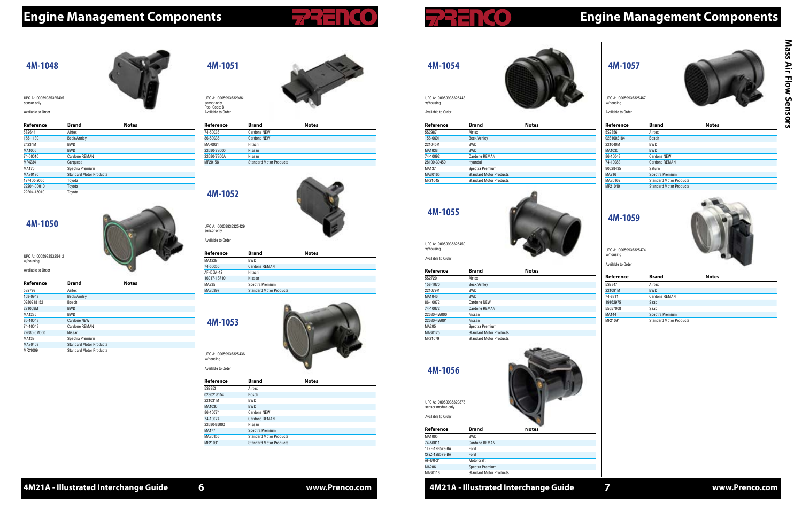**4M21A - Illustrated Interchange Guide 6 www.Prenco.com 7**

# **Engine Management Components Engine Management Components**

### **4M-1057**



| Reference  | <b>Brand</b>                   | <b>Notes</b> |
|------------|--------------------------------|--------------|
| 5S2856     | Airtex                         |              |
| 0281002184 | <b>Bosch</b>                   |              |
| 221040M    | BWD                            |              |
| MA1035     | <b>BWD</b>                     |              |
| 86-10043   | Cardone NEW                    |              |
| 74-10083   | <b>Cardone REMAN</b>           |              |
| 90528435   | Saturn                         |              |
| MA216      | Spectra Premium                |              |
| MAS0162    | <b>Standard Motor Products</b> |              |
| MF21040    | <b>Standard Motor Products</b> |              |

UPC A: 00059935325467 w/housing

Available to Order

#### **4M-1059**



| Cardone REMAN                  |
|--------------------------------|
|                                |
|                                |
| Spectra Premium                |
| <b>Standard Motor Products</b> |
|                                |

UPC A: 00059935325474 w/housing

Available to Order

# **4M-1054**

| Available to Order |              |              |
|--------------------|--------------|--------------|
| Reference          | <b>Brand</b> | <b>Notes</b> |
| 5S2987             | Airtex       |              |
| 158-0691           | Beck/Arnley  |              |
| $0010101$          | <b>DIAID</b> |              |

| 221045M     | <b>BWD</b>                     |
|-------------|--------------------------------|
| MA1038      | <b>BWD</b>                     |
| 74-10092    | Cardone REMAN                  |
| 28100-39450 | Hyundai                        |
| MA137       | Spectra Premium                |
| MAS0165     | <b>Standard Motor Products</b> |
| MF21045     | <b>Standard Motor Products</b> |

UPC A: 00059935325443



w/housing

### **4M-1055**



| Reference      | <b>Brand</b>                   | <b>Notes</b> |  |
|----------------|--------------------------------|--------------|--|
| 5S2720         | Airtex                         |              |  |
| 158-1070       | Beck/Arnley                    |              |  |
| 221079M        | <b>BWD</b>                     |              |  |
| MA1046         | <b>BWD</b>                     |              |  |
| 86-10072       | Cardone NEW                    |              |  |
| 74-10072       | <b>Cardone REMAN</b>           |              |  |
| 22680-4W000    | Nissan                         |              |  |
| 22680-4W001    | Nissan                         |              |  |
| MA205          | Spectra Premium                |              |  |
| <b>MAS0175</b> | <b>Standard Motor Products</b> |              |  |

MF21079 Standard Motor Products

UPC A: 00059935325450 w/housing Available to Order

| Reference      | <b>Brand</b>                   | <b>Notes</b> |  |
|----------------|--------------------------------|--------------|--|
| MA1005         | <b>BWD</b>                     |              |  |
| 74-50011       | Cardone REMAN                  |              |  |
| 1L2F-12B579-BA | Ford                           |              |  |
| XF2Z-12B579-BA | Ford                           |              |  |
| AFH70-21       | Motorcraft                     |              |  |
| <b>MA206</b>   | Spectra Premium                |              |  |
| <b>MAS0118</b> | <b>Standard Motor Products</b> |              |  |

# **4M-1056** UPC A: 00059935329878

sensor module only Available to Order

**4M-1051**

| Reference   | <b>Brand</b>                   | <b>Notes</b> |
|-------------|--------------------------------|--------------|
| 74-50036    | Cardone NEW                    |              |
| 86-50036    | Cardone NEW                    |              |
| MAF0031     | Hitachi                        |              |
| 22680-7S000 | Nissan                         |              |
| 22680-7S00A | Nissan                         |              |
| MF20158     | <b>Standard Motor Products</b> |              |
|             |                                |              |

UPC A: 00059935329861 sensor only Pop. Code: B Available to Order

# **4M-1052**



| Reference   | <b>Brand</b>                   | <b>Notes</b> |
|-------------|--------------------------------|--------------|
| MA1229      | <b>BWD</b>                     |              |
| 74-50050    | <b>Cardone REMAN</b>           |              |
| AFH55M-12   | Hitachi                        |              |
| 16017-1S710 | Nissan                         |              |
| MA235       | Spectra Premium                |              |
| MAS0397     | <b>Standard Motor Products</b> |              |
|             |                                |              |

UPC A: 00059935325429 sensor only Available to Order

## **Reference Brand Notes**

| 5S2953       | Airtex                         |
|--------------|--------------------------------|
| 0280218154   | Bosch                          |
| 221031M      | <b>BWD</b>                     |
| MA1030       | <b>BWD</b>                     |
| 86-10074     | <b>Cardone NEW</b>             |
| 74-10074     | <b>Cardone REMAN</b>           |
| 22680-8J000  | Nissan                         |
| <b>MA177</b> | Spectra Premium                |
| MAS0156      | <b>Standard Motor Products</b> |
| MF21031      | <b>Standard Motor Products</b> |
|              |                                |





#### **4M-1048**

| Reference    | <b>Brand</b>                   | <b>Notes</b> |  |
|--------------|--------------------------------|--------------|--|
| 5S2644       | Airtex                         |              |  |
| 158-1130     | Beck/Arnley                    |              |  |
| 24234M       | <b>BWD</b>                     |              |  |
| MA1056       | <b>BWD</b>                     |              |  |
| 74-50010     | Cardone REMAN                  |              |  |
| MF4234       | Carquest                       |              |  |
| <b>MA170</b> | Spectra Premium                |              |  |
| MAS0190      | <b>Standard Motor Products</b> |              |  |
| 197400-2060  | Toyota                         |              |  |
| 22204-0D010  | Toyota                         |              |  |
| 22204-15010  | Tovota                         |              |  |

UPC A: 00059935325405 sensor only

Available to Orde

#### **4M-1050**



| Reference   | <b>Brand</b>                   | <b>Notes</b> |  |
|-------------|--------------------------------|--------------|--|
| 5S2799      | Airtex                         |              |  |
| 158-0943    | Beck/Arnley                    |              |  |
| 0280218152  | <b>Bosch</b>                   |              |  |
| 221009M     | <b>BWD</b>                     |              |  |
| MA1235      | <b>BWD</b>                     |              |  |
| 86-10048    | <b>Cardone NEW</b>             |              |  |
| 74-10048    | Cardone REMAN                  |              |  |
| 22680-5M000 | Nissan                         |              |  |
| MA139       | Spectra Premium                |              |  |
| MAS0403     | <b>Standard Motor Products</b> |              |  |
| MF21009     | <b>Standard Motor Products</b> |              |  |

UPC A: 00059935325412 w/housing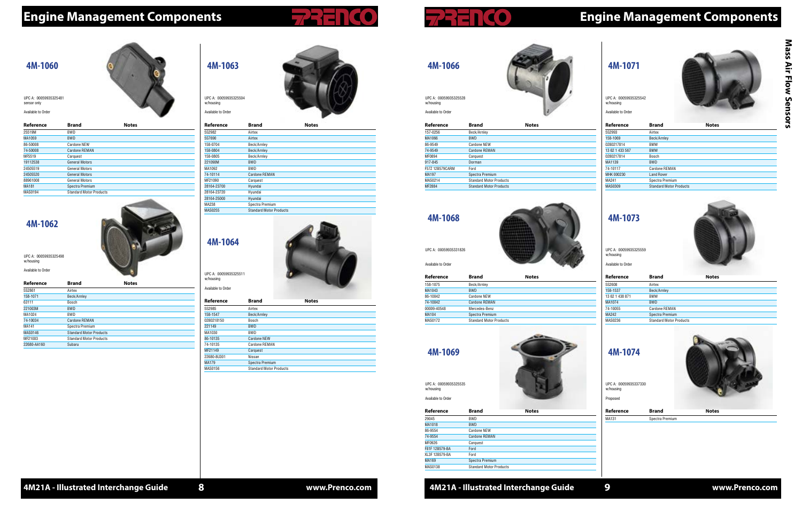**4M21A - Illustrated Interchange Guide www.Prenco.com 4M21A - Illustrated Interchange Guide 8 www.Prenco.com 9**

# **Engine Management Components Engine Management Components**

#### **4M-1071**



| Reference       | <b>Brand</b>                   | <b>Notes</b> |  |
|-----------------|--------------------------------|--------------|--|
| 5S2993          | Airtex                         |              |  |
| 158-1069        | Beck/Arnley                    |              |  |
| 0280217814      | <b>BMW</b>                     |              |  |
| 13 62 1 433 567 | <b>BMW</b>                     |              |  |
| 0280217814      | Bosch                          |              |  |
| MA1139          | <b>BWD</b>                     |              |  |
| 74-10117        | Cardone REMAN                  |              |  |
| MHK 000230      | <b>Land Rover</b>              |              |  |
| MA241           | Spectra Premium                |              |  |
| <b>MAS0309</b>  | <b>Standard Motor Products</b> |              |  |

UPC A: 00059935325542 w/housing

Available to Order

### **4M-1073**



| Reference       | <b>Brand</b>                   | <b>Notes</b> |  |
|-----------------|--------------------------------|--------------|--|
| 5S2608          | Airtex                         |              |  |
| 158-1537        | Beck/Arnley                    |              |  |
| 13 62 1 438 871 | <b>BMW</b>                     |              |  |
| MA1074          | <b>BWD</b>                     |              |  |
| 74-10055        | Cardone REMAN                  |              |  |
| MA242           | Spectra Premium                |              |  |
| MAS0236         | <b>Standard Motor Products</b> |              |  |
|                 |                                |              |  |

UPC A: 00059935325559 w/housing Available to Order

| UPC A: 00059935337330<br>w/housing<br>Proposed |  |
|------------------------------------------------|--|
| 4M-1074                                        |  |





| 157-0256        | Beck/Arnley                    |
|-----------------|--------------------------------|
| MA1066          | <b>BWD</b>                     |
| 86-9549         | Cardone NEW                    |
| 74-9549         | Cardone REMAN                  |
| MF0894          | Carquest                       |
| 917-845         | Dorman                         |
| F57Z 12B579CARM | Ford                           |
| MA197           | Spectra Premium                |
| MAS0214         | <b>Standard Motor Products</b> |
| MF2884          | <b>Standard Motor Products</b> |
|                 |                                |

UPC A: 00059935325528

w/housing Available to Order



**4M-1068**

| Reference    | <b>Brand</b>                   | <b>Notes</b> |  |
|--------------|--------------------------------|--------------|--|
| 158-1075     | Beck/Arnley                    |              |  |
| MA1043       | <b>BWD</b>                     |              |  |
| 86-10042     | Cardone NEW                    |              |  |
| 74-10042     | Cardone REMAN                  |              |  |
| 00009-40548  | Mercedes-Benz                  |              |  |
| <b>MA104</b> | Spectra Premium                |              |  |
| MAS0172      | <b>Standard Motor Products</b> |              |  |

UPC A: 00059935331826 Available to Order

#### **4M-1069**

| Reference      | <b>Brand</b>                   | <b>Notes</b> |  |
|----------------|--------------------------------|--------------|--|
| 29045          | BWD                            |              |  |
| MA1018         | <b>BWD</b>                     |              |  |
| 86-9554        | <b>Cardone NEW</b>             |              |  |
| 74-9554        | <b>Cardone REMAN</b>           |              |  |
| MF0926         | Carquest                       |              |  |
| F81F 12B579-BA | Ford                           |              |  |
| XL3F 12B579-BA | Ford                           |              |  |
| <b>MA169</b>   | Spectra Premium                |              |  |
| <b>MAS0138</b> | <b>Standard Motor Products</b> |              |  |

UPC A: 00059935325535

w/housing Available to Order



### **4M-1063**

| Reference   | <b>Brand</b>                   | <b>Notes</b> |  |
|-------------|--------------------------------|--------------|--|
| 5S2982      | Airtex                         |              |  |
| 5S7690      | Airtex                         |              |  |
| 158-0704    | Beck/Arnley                    |              |  |
| 158-0804    | Beck/Arnley                    |              |  |
| 158-0805    | Beck/Arnley                    |              |  |
| 221090M     | <b>BWD</b>                     |              |  |
| MA1092      | <b>BWD</b>                     |              |  |
| 74-10114    | <b>Cardone REMAN</b>           |              |  |
| MF21090     | Carquest                       |              |  |
| 28164-23700 | Hyundai                        |              |  |
| 28164-23720 | Hyundai                        |              |  |
| 28164-25000 | Hyundai                        |              |  |
| MA238       | Spectra Premium                |              |  |
| MAS0255     | <b>Standard Motor Products</b> |              |  |
|             |                                |              |  |

UPC A: 00059935325504 w/housing

Available to Order



| Reference   | <b>Brand</b>                   | <b>Notes</b> |  |
|-------------|--------------------------------|--------------|--|
| 5S2985      | Airtex                         |              |  |
| 158-1547    | Beck/Arnley                    |              |  |
| 0280218150  | Bosch                          |              |  |
| 221149      | <b>BWD</b>                     |              |  |
| MA1030      | <b>BWD</b>                     |              |  |
| 86-10135    | <b>Cardone NEW</b>             |              |  |
| 74-10135    | <b>Cardone REMAN</b>           |              |  |
| MF21149     | Carquest                       |              |  |
| 22680-8U301 | Nissan                         |              |  |
| MA179       | Spectra Premium                |              |  |
| MAS0156     | <b>Standard Motor Products</b> |              |  |

UPC A: 00059935325511 w/housing Available to Order

#### **4M-1060**

| Reference    | <b>Brand</b>                   | <b>Notes</b> |  |
|--------------|--------------------------------|--------------|--|
| 25519M       | <b>BWD</b>                     |              |  |
| MA1059       | <b>BWD</b>                     |              |  |
| 86-50008     | Cardone NEW                    |              |  |
| 74-50008     | Cardone REMAN                  |              |  |
| MF5519       | Carquest                       |              |  |
| 19112538     | <b>General Motors</b>          |              |  |
| 24505519     | <b>General Motors</b>          |              |  |
| 24505520     | <b>General Motors</b>          |              |  |
| 88961008     | <b>General Motors</b>          |              |  |
| <b>MA181</b> | Spectra Premium                |              |  |
| MAS0194      | <b>Standard Motor Products</b> |              |  |

UPC A: 00059935325481 sensor only

Available to Orde

### **4M-1062**



|             |                                | $\sim$       |  |
|-------------|--------------------------------|--------------|--|
| Reference   | <b>Brand</b>                   | <b>Notes</b> |  |
| 5S2861      | Airtex                         |              |  |
| 158-1071    | Beck/Arnley                    |              |  |
| 63111       | Bosch                          |              |  |
| 221003M     | <b>BWD</b>                     |              |  |
| MA1024      | <b>BWD</b>                     |              |  |
| 74-10034    | <b>Cardone REMAN</b>           |              |  |
| MA141       | Spectra Premium                |              |  |
| MAS0146     | <b>Standard Motor Products</b> |              |  |
| MF21003     | <b>Standard Motor Products</b> |              |  |
| 22680-AA160 | Subaru                         |              |  |

UPC A: 00059935325498 w/housing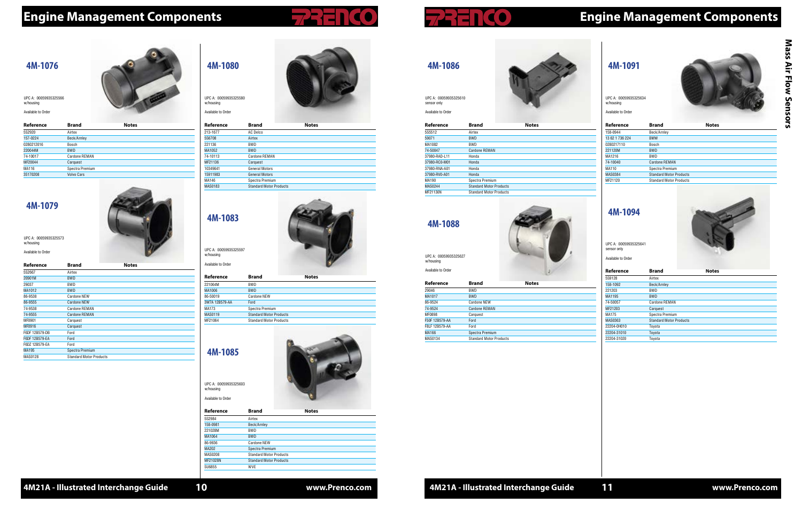# **Engine Management Components Engine Management Components**

#### **4M-1091**



| Reference       | <b>Brand</b>                   | <b>Notes</b> |  |
|-----------------|--------------------------------|--------------|--|
| 158-0944        | Beck/Arnley                    |              |  |
| 13 62 1 736 224 | <b>BMW</b>                     |              |  |
| 0280217110      | Bosch                          |              |  |
| 221120M         | <b>BWD</b>                     |              |  |
| MA1216          | <b>BWD</b>                     |              |  |
| 74-10040        | Cardone REMAN                  |              |  |
| MA110           | Spectra Premium                |              |  |
| MAS0384         | <b>Standard Motor Products</b> |              |  |
| MF21120         | <b>Standard Motor Products</b> |              |  |
|                 |                                |              |  |

UPC A: 00059935325634 w/housing

Available to Order

#### **4M-1094**



| <b>Brand</b>                   | <b>Notes</b> |
|--------------------------------|--------------|
| Airtex                         |              |
| Beck/Arnley                    |              |
| BWD                            |              |
| <b>BWD</b>                     |              |
| Cardone REMAN                  |              |
| Carquest                       |              |
| Spectra Premium                |              |
| <b>Standard Motor Products</b> |              |
| Toyota                         |              |
| Toyota                         |              |
| Toyota                         |              |
|                                |              |

UPC A: 00059935325641 sensor only

Available to Order

| 4M-1086 |  |
|---------|--|

| Reference     | Brand                          | <b>Notes</b> |  |
|---------------|--------------------------------|--------------|--|
| 5S5512        | Airtex                         |              |  |
| 59071         | <b>BWD</b>                     |              |  |
| MA1082        | <b>BWD</b>                     |              |  |
| 74-50047      | <b>Cardone REMAN</b>           |              |  |
| 37980-RAD-L11 | Honda                          |              |  |
| 37980-RC0-M01 | Honda                          |              |  |
| 37980-RNA-A01 | Honda                          |              |  |
| 37980-RV0-A01 | Honda                          |              |  |
| MA190         | Spectra Premium                |              |  |
| MAS0244       | <b>Standard Motor Products</b> |              |  |
| MF21130N      | <b>Standard Motor Products</b> |              |  |
|               |                                |              |  |

UPC A: 00059935325610 sensor only Available to Order



### **4M-1088**

| Reference      | <b>Brand</b>                   | <b>Notes</b> |  |
|----------------|--------------------------------|--------------|--|
| 29046          | <b>BWD</b>                     |              |  |
| MA1017         | <b>BWD</b>                     |              |  |
| 86-9524        | Cardone NEW                    |              |  |
| 74-9524        | Cardone REMAN                  |              |  |
| MF0898         | Carquest                       |              |  |
| F50F 12B579-AA | Ford                           |              |  |
| F8LF 12B579-AA | Ford                           |              |  |
| MA166          | Spectra Premium                |              |  |
| <b>MAS0134</b> | <b>Standard Motor Products</b> |              |  |

UPC A: 00059935325627 w/housing Available to Order





| Reference | <b>Brand</b>                   | <b>Notes</b> |  |
|-----------|--------------------------------|--------------|--|
| 213-1677  | AC Delco                       |              |  |
| 5S6708    | Airtex                         |              |  |
| 221136    | <b>BWD</b>                     |              |  |
| MA1052    | <b>BWD</b>                     |              |  |
| 74-10113  | Cardone REMAN                  |              |  |
| MF21136   | Carquest                       |              |  |
| 10349641  | General Motors                 |              |  |
| 15911983  | <b>General Motors</b>          |              |  |
| MA146     | Spectra Premium                |              |  |
| MAS0183   | <b>Standard Motor Products</b> |              |  |
|           |                                |              |  |

UPC A: 00059935325580 w/housing

Available to Order

### **4M-1083**



| Reference      | <b>Brand</b>                   | <b>Notes</b> |  |
|----------------|--------------------------------|--------------|--|
| 221064M        | <b>BWD</b>                     |              |  |
| MA1006         | <b>BWD</b>                     |              |  |
| 86-50019       | Cardone NEW                    |              |  |
| 3W7A 12B579-AA | Ford                           |              |  |
| MA173          | Spectra Premium                |              |  |
| MAS0119        | <b>Standard Motor Products</b> |              |  |
| MF21064        | <b>Standard Motor Products</b> |              |  |
|                |                                |              |  |

UPC A: 00059935325597 w/housing

Available to Order

**4M-1085**





w/housing Available to Order



#### **4M-1076**

| Reference  | <b>Brand</b>         | <b>Notes</b> |  |
|------------|----------------------|--------------|--|
| 5S2920     | Airtex               |              |  |
| 157-0224   | Beck/Arnley          |              |  |
| 0280212016 | Bosch                |              |  |
| 220044M    | <b>BWD</b>           |              |  |
| 74-10017   | <b>Cardone REMAN</b> |              |  |
| MF20044    | Carquest             |              |  |
| MA116      | Spectra Premium      |              |  |
| 35170208   | <b>Volvo Cars</b>    |              |  |

UPC A: 00059935325566 w/housing

Available to Order

#### **4M-1079**

| Reference      | <b>Brand</b>                   | <b>Notes</b> |  |
|----------------|--------------------------------|--------------|--|
| 5S2667         | Airtex                         |              |  |
| 20901M         | <b>BWD</b>                     |              |  |
| 29037          | BWD                            |              |  |
| MA1012         | <b>BWD</b>                     |              |  |
| 86-9538        | <b>Cardone NEW</b>             |              |  |
| 86-9555        | <b>Cardone NEW</b>             |              |  |
| 74-9538        | Cardone REMAN                  |              |  |
| 74-9555        | <b>Cardone REMAN</b>           |              |  |
| MF0901         | Carquest                       |              |  |
| <b>MF0916</b>  | Carquest                       |              |  |
| F6DF 12B579-DB | Ford                           |              |  |
| F6DF 12B579-EA | Ford                           |              |  |
| F6DZ 12B579-EA | Ford                           |              |  |
| <b>MA195</b>   | Spectra Premium                |              |  |
| MAS0128        | <b>Standard Motor Products</b> |              |  |

UPC A: 00059935325573

w/housing

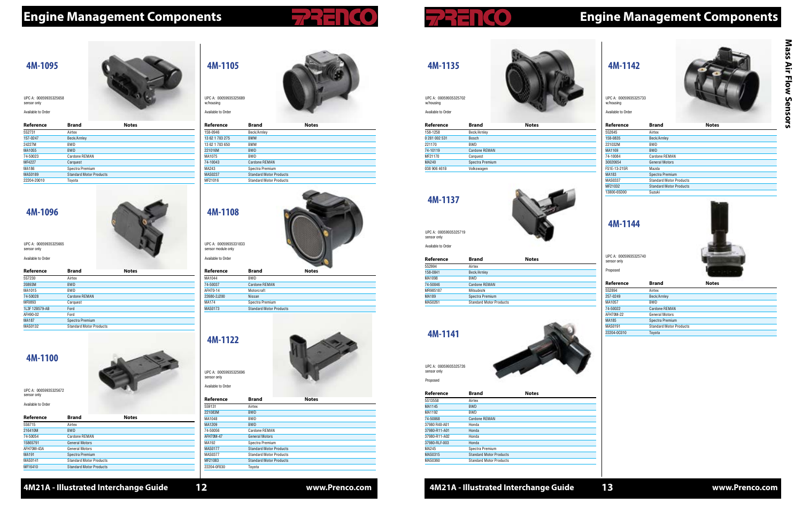$\sim$ 

#### **4M21A - Illustrated Interchange Guide www.Prenco.com**

# **Engine Management Components Engine Management Components**

### **4M-1142**



| Reference    | <b>Brand</b>                   | <b>Notes</b> |  |
|--------------|--------------------------------|--------------|--|
| 5S2645       | Airtex                         |              |  |
| 158-0835     | Beck/Arnley                    |              |  |
| 221032M      | BWD                            |              |  |
| MA1169       | <b>BWD</b>                     |              |  |
| 74-10084     | Cardone REMAN                  |              |  |
| 30020654     | <b>General Motors</b>          |              |  |
| FS1E-13-215R | Mazda                          |              |  |
| MA183        | Spectra Premium                |              |  |
| MAS0337      | <b>Standard Motor Products</b> |              |  |
| MF21032      | <b>Standard Motor Products</b> |              |  |
| 13800-65D00  | Suzuki                         |              |  |
|              |                                |              |  |

UPC A: 00059935325733 w/housing

Available to Order

#### **4M-1144**



| Reference   | <b>Brand</b>                   | <b>Notes</b> |  |
|-------------|--------------------------------|--------------|--|
| 5S2894      | Airtex                         |              |  |
| 257-0249    | Beck/Arnley                    |              |  |
| MA1057      | <b>BWD</b>                     |              |  |
| 74-50022    | Cardone REMAN                  |              |  |
| AFH70M-22   | General Motors                 |              |  |
| MA185       | Spectra Premium                |              |  |
| MAS0191     | <b>Standard Motor Products</b> |              |  |
| 22204-0C010 | Toyota                         |              |  |
|             |                                |              |  |

UPC A: 00059935325740 sensor only

Proposed

| <b>Brand</b>         | <b>Notes</b> |
|----------------------|--------------|
| Beck/Arnley          |              |
| <b>Bosch</b>         |              |
| <b>BWD</b>           |              |
| <b>Cardone REMAN</b> |              |
| Carquest             |              |
| Spectra Premium      |              |
| Volkswagen           |              |
|                      |              |

# **4M-1135** UPC A: 00059935325702 Available to Order

w/housing

UPC A: 00059935331833 sensor module only Available to Orde

| וטופ נט טועפו |  |
|---------------|--|
|               |  |
|               |  |
|               |  |
| . .           |  |

**4M-1137**



| Reference | <b>Brand</b>                   | <b>Notes</b> |  |
|-----------|--------------------------------|--------------|--|
| 5S2994    | Airtex                         |              |  |
| 158-0841  | Beck/Arnley                    |              |  |
| MA1098    | <b>BWD</b>                     |              |  |
| 74-50046  | <b>Cardone REMAN</b>           |              |  |
| MR985187  | Mitsubishi                     |              |  |
| MA189     | Spectra Premium                |              |  |
| MAS0261   | <b>Standard Motor Products</b> |              |  |

UPC A: 00059935325719 sensor only Available to Order

### **4M-1141**

| Reference     | <b>Brand</b>                   | <b>Notes</b> |  |
|---------------|--------------------------------|--------------|--|
| 5S13558       | Airtex                         |              |  |
| MA1145        | <b>BWD</b>                     |              |  |
| MA1192        | <b>BWD</b>                     |              |  |
| 74-50068      | Cardone REMAN                  |              |  |
| 37980 R40-A01 | Honda                          |              |  |
| 37980-R11-A01 | Honda                          |              |  |
| 37980-R11-A02 | Honda                          |              |  |
| 37980-RLF-003 | Honda                          |              |  |
| MA245         | Spectra Premium                |              |  |
| MAS0315       | <b>Standard Motor Products</b> |              |  |
| MAS0360       | <b>Standard Motor Products</b> |              |  |

UPC A: 00059935325665 sensor only Available to Order

> UPC A: 00059935325726 sensor only Proposed



**4M-1105**

| Reference       | <b>Brand</b>                   | <b>Notes</b> |  |
|-----------------|--------------------------------|--------------|--|
| 158-0946        | Beck/Arnley                    |              |  |
| 13 62 1 703 275 | <b>BMW</b>                     |              |  |
| 13 62 1 703 650 | <b>BMW</b>                     |              |  |
| 221016M         | <b>BWD</b>                     |              |  |
| MA1075          | BWD                            |              |  |
| 74-10043        | <b>Cardone REMAN</b>           |              |  |
| MA243           | Spectra Premium                |              |  |
| MAS0237         | <b>Standard Motor Products</b> |              |  |
| MF21016         | <b>Standard Motor Products</b> |              |  |

UPC A: 00059935325689 w/housing Available to Order



| Reference   | <b>Brand</b>                   | <b>Notes</b> |  |
|-------------|--------------------------------|--------------|--|
| MA1044      | <b>BWD</b>                     |              |  |
| 74-50037    | <b>Cardone REMAN</b>           |              |  |
| AFH70-14    | Motorcraft                     |              |  |
| 22680-2J200 | Nissan                         |              |  |
| MA174       | Spectra Premium                |              |  |
| MAS0173     | <b>Standard Motor Products</b> |              |  |
|             |                                |              |  |

| 5S9131      | Airtex                         |
|-------------|--------------------------------|
| 221083M     | <b>BWD</b>                     |
| MA1048      | <b>BWD</b>                     |
| MA1209      | <b>BWD</b>                     |
| 74-50056    | Cardone REMAN                  |
| AFH70M-47   | <b>General Motors</b>          |
| MA192       | Spectra Premium                |
| MAS0177     | <b>Standard Motor Products</b> |
| MAS0377     | <b>Standard Motor Products</b> |
| MF21083     | <b>Standard Motor Products</b> |
| 22204-0F030 | Toyota                         |
|             |                                |







| d | <b>Notes</b> |  |
|---|--------------|--|

### **4M-1095**

| Reference   | <b>Brand</b>                   | <b>Notes</b> |  |
|-------------|--------------------------------|--------------|--|
| 5S2731      | Airtex                         |              |  |
| 157-0247    | Beck/Arnley                    |              |  |
| 24227M      | <b>BWD</b>                     |              |  |
| MA1055      | <b>BWD</b>                     |              |  |
| 74-50023    | Cardone REMAN                  |              |  |
| MF4227      | Carquest                       |              |  |
| MA186       | Spectra Premium                |              |  |
| MAS0189     | <b>Standard Motor Products</b> |              |  |
| 22204-20010 | Toyota                         |              |  |
|             |                                |              |  |

UPC A: 00059935325658 sensor only

Available to Orde

#### **4M-1096**



| Reference      | <b>Brand</b>                   | <b>Notes</b> |
|----------------|--------------------------------|--------------|
| 5S7230         | Airtex                         |              |
| 20893M         | <b>BWD</b>                     |              |
| MA1015         | <b>BWD</b>                     |              |
| 74-50028       | Cardone REMAN                  |              |
| MF0893         | Carquest                       |              |
| 1L3F 12B579-AB | Ford                           |              |
| AFH90-02       | Ford                           |              |
| <b>MA187</b>   | Spectra Premium                |              |
| MAS0132        | <b>Standard Motor Products</b> |              |
|                |                                |              |

#### **4M-1100**

| Reference    | <b>Brand</b>                   | <b>Notes</b> |  |
|--------------|--------------------------------|--------------|--|
| 5S6715       | Airtex                         |              |  |
| 216410M      | <b>BWD</b>                     |              |  |
| 74-50054     | Cardone REMAN                  |              |  |
| 15865791     | <b>General Motors</b>          |              |  |
| AFH70M-43A   | <b>General Motors</b>          |              |  |
| <b>MA191</b> | Spectra Premium                |              |  |
| MAS0141      | <b>Standard Motor Products</b> |              |  |
| MF16410      | <b>Standard Motor Products</b> |              |  |

UPC A: 00059935325672 sensor only Available to Order

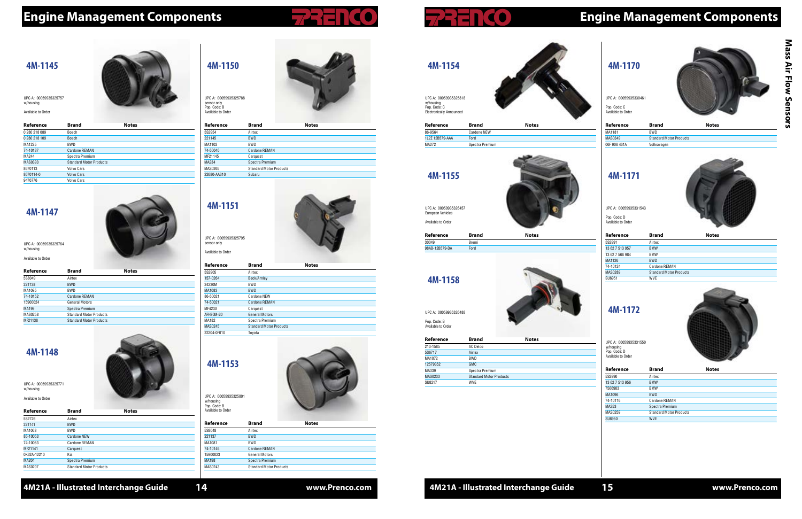**4M21A - Illustrated Interchange Guide 14 www.Prenco.com 15**

# **Engine Management Components Engine Management Components**





| Reference    | Brand                          | <b>Notes</b> |
|--------------|--------------------------------|--------------|
| MA1181       | <b>BWD</b>                     |              |
| MAS0349      | <b>Standard Motor Products</b> |              |
| 06F 906 461A | Volkswagen                     |              |

UPC A: 00059935330461 Pop. Code: C Available to Order

### **4M-1171**



| Reference       | <b>Brand</b>                   | <b>Notes</b> |
|-----------------|--------------------------------|--------------|
| 5S2991          | Airtex                         |              |
| 13 62 7 513 957 | <b>BMW</b>                     |              |
| 13 62 7 566 984 | <b>BMW</b>                     |              |
| MA1126          | <b>BWD</b>                     |              |
| 74-10124        | Cardone REMAN                  |              |
| <b>MAS0289</b>  | <b>Standard Motor Products</b> |              |
| SU6951          | WVE                            |              |

UPC A: 00059935331543

Pop. Code: D Available to Order

### **4M-1172**

| Reference       | <b>Brand</b>                   | <b>Notes</b> |  |
|-----------------|--------------------------------|--------------|--|
| 5S2990          | Airtex                         |              |  |
| 13 62 7 513 956 | <b>BMW</b>                     |              |  |
| 7566983         | <b>BMW</b>                     |              |  |
| MA1096          | <b>BWD</b>                     |              |  |
| 74-10116        | Cardone REMAN                  |              |  |
| MA353           | Spectra Premium                |              |  |
| MAS0259         | <b>Standard Motor Products</b> |              |  |
| SU6950          | <b>WVE</b>                     |              |  |





**4M-1154**

**Reference Brand Notes**

86-9564 Cardone NEW

### 1L2Z 12B579-AAA Ford MA272 Spectra Premium

UPC A: 00059935325818 w/housing Pop. Code: C Electronically Announced

**4M-1155**



30049 Bremi 98AB-12B579-DA Ford

UPC A: 00059935326457 European Vehicles Available to Order

# **4M-1158**

| Reference | <b>Brand</b>                   | <b>Notes</b> |  |
|-----------|--------------------------------|--------------|--|
| 213-1585  | AC Delco                       |              |  |
| 5S6717    | Airtex                         |              |  |
| MA1072    | BWD                            |              |  |
| 12579352  | <b>GMC</b>                     |              |  |
| MA339     | Spectra Premium                |              |  |
| MAS0233   | <b>Standard Motor Products</b> |              |  |
| SU8217    | <b>WVE</b>                     |              |  |

UPC A: 00059935326488 Pop. Code: B Available to Order

| - 4.<br>ι. |  |
|------------|--|

UPC A: 00059935325764 w/housing Available to Order

### **4M-1150**

| Reference   | <b>Brand</b>                   | <b>Notes</b> |
|-------------|--------------------------------|--------------|
| 5S2954      | Airtex                         |              |
| 221145      | <b>BWD</b>                     |              |
| MA1102      | BWD                            |              |
| 74-50040    | <b>Cardone REMAN</b>           |              |
| MF21145     | Carquest                       |              |
| MA234       | Spectra Premium                |              |
| MAS0265     | <b>Standard Motor Products</b> |              |
| 22680-AA310 | Subaru                         |              |
|             |                                |              |

UPC A: 00059935325788 sensor only Pop. Code: B Available to Order

### **4M-1151**



| Reference   | <b>Brand</b>                   | <b>Notes</b> |
|-------------|--------------------------------|--------------|
| 5S2905      | Airtex                         |              |
| 157-0264    | Beck/Arnley                    |              |
| 24230M      | <b>BWD</b>                     |              |
| MA1083      | <b>BWD</b>                     |              |
| 86-50021    | Cardone NEW                    |              |
| 74-50021    | Cardone REMAN                  |              |
| MF4230      | Carquest                       |              |
| AFH70M-20   | <b>General Motors</b>          |              |
| MA182       | Spectra Premium                |              |
| MAS0245     | <b>Standard Motor Products</b> |              |
| 22204-0F010 | Toyota                         |              |

UPC A: 00059935325795 sensor only Available to Order



|            |              | <b>Notes</b> |  |  |
|------------|--------------|--------------|--|--|
|            |              |              |  |  |
|            |              |              |  |  |
|            |              |              |  |  |
| <b>IAN</b> |              |              |  |  |
|            |              |              |  |  |
| iium       |              |              |  |  |
|            | tor Products |              |  |  |
|            |              |              |  |  |
|            |              |              |  |  |
|            |              |              |  |  |

#### **4M-1145**

| Reference     | <b>Brand</b>                   | <b>Notes</b> |  |
|---------------|--------------------------------|--------------|--|
| 0 280 218 089 | <b>Bosch</b>                   |              |  |
| 0 280 218 109 | Bosch                          |              |  |
| MA1225        | <b>BWD</b>                     |              |  |
| 74-10137      | Cardone REMAN                  |              |  |
| MA244         | Spectra Premium                |              |  |
| MAS0393       | <b>Standard Motor Products</b> |              |  |
| 8670113       | <b>Volvo Cars</b>              |              |  |
| 8670114-0     | <b>Volvo Cars</b>              |              |  |
| 9470776       | <b>Volvo Cars</b>              |              |  |

UPC A: 00059935325757 w/housing

Available to Orde

**4M-1147**



| Reference | <b>Brand</b>                   | <b>Notes</b> |
|-----------|--------------------------------|--------------|
| 5S8049    | Airtex                         |              |
| 221138    | <b>BWD</b>                     |              |
| MA1095    | <b>BWD</b>                     |              |
| 74-10152  | Cardone REMAN                  |              |
| 15900024  | General Motors                 |              |
| MA199     | Spectra Premium                |              |
| MAS0258   | <b>Standard Motor Products</b> |              |
| MF21138   | <b>Standard Motor Products</b> |              |

#### **4M-1148**

| Reference      | <b>Brand</b>                   | <b>Notes</b> |  |
|----------------|--------------------------------|--------------|--|
| 5S2726         | Airtex                         |              |  |
| 221141         | <b>BWD</b>                     |              |  |
| MA1063         | <b>BWD</b>                     |              |  |
| 86-10053       | Cardone NEW                    |              |  |
| 74-10053       | Cardone REMAN                  |              |  |
| MF21141        | Carquest                       |              |  |
| 0K32A-12210    | Kia                            |              |  |
| <b>MA204</b>   | Spectra Premium                |              |  |
| <b>MAS0207</b> | <b>Standard Motor Products</b> |              |  |
|                |                                |              |  |

UPC A: 00059935325771 w/housing Available to Order